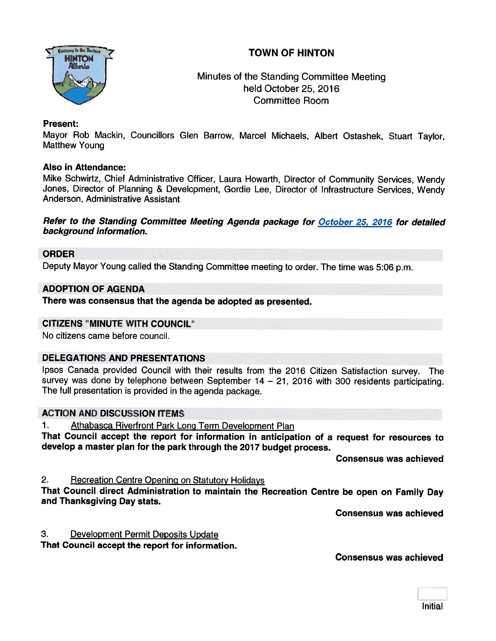



# Minutes of the Standing Committee Meeting held October 25, 2016 Committee Room

## Present:

Mayor Rob Mackin, Councillors Glen Barrow, Marcel Michaels, Albert Ostashek, Stuart Taylor, Matthew Young

### Also in Attendance:

Mike Schwirtz, Chief Administrative Officer, Laura Howarth, Director of Community Services, Wendy Jones, Director of Planning & Development, Gordie Lee, Director of Infrastructure Services, Wendy Anderson, Administrative Assistant

#### Refer to the Standing Committee Meeting Agenda package for October 25, 2016 for detailed background information.

### ORDER

Deputy Mayor Young called the Standing Committee meeting to order. The time was 5:06 p.m.

#### ADOPTION OF AGENDA

There was consensus that the agenda be adopted as presented.

#### CITIZENS "MINUTE WITH COUNCIL"

No citizens came before council.

## DELEGATIONS AND PRESENTATIONS

Ipsos Canada provided Council with their results from the <sup>2016</sup> Citizen Satisfaction survey. The survey was done by telephone between September <sup>14</sup> — 21, <sup>2016</sup> with <sup>300</sup> residents participating. The full presentation is provided in the agenda package.

# ACTION AND DISCUSSION ITEMS

1. Athabasca Riverfront Park Long Term Development Plan

That Council accept the repor<sup>t</sup> for information in anticipation of <sup>a</sup> request for resources to develop <sup>a</sup> master <sup>p</sup>lan for the par<sup>k</sup> through the <sup>2017</sup> budget process.

Consensus was achieved

2. Recreation Centre Opening on Statutory Holidays

That Council direct Administration to maintain the Recreation Centre be open on Family Day and Thanksgiving Day stats.

Consensus was achieved

3. Development Permit Deposits Update

That Council accept the repor<sup>t</sup> for information.

Consensus was achieved